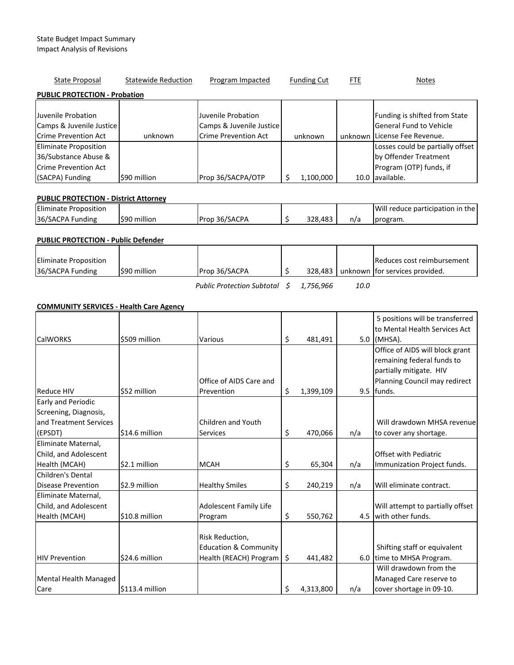| State Proposal                               | <b>Statewide Reduction</b> | Program Impacted            | <b>Funding Cut</b> | <b>FTE</b> | <b>Notes</b>                     |  |  |  |
|----------------------------------------------|----------------------------|-----------------------------|--------------------|------------|----------------------------------|--|--|--|
| <b>PUBLIC PROTECTION - Probation</b>         |                            |                             |                    |            |                                  |  |  |  |
|                                              |                            |                             |                    |            |                                  |  |  |  |
| Juvenile Probation                           |                            | Juvenile Probation          |                    |            | Funding is shifted from State    |  |  |  |
| Camps & Juvenile Justice                     |                            | Camps & Juvenile Justice    |                    |            | General Fund to Vehicle          |  |  |  |
| <b>Crime Prevention Act</b>                  | unknown                    | <b>Crime Prevention Act</b> | unknown            |            | unknown License Fee Revenue.     |  |  |  |
| <b>Eliminate Proposition</b>                 |                            |                             |                    |            | Losses could be partially offset |  |  |  |
| 36/Substance Abuse &                         |                            |                             |                    |            | by Offender Treatment            |  |  |  |
| Crime Prevention Act                         |                            |                             |                    |            | Program (OTP) funds, if          |  |  |  |
| (SACPA) Funding                              | \$90 million               | Prop 36/SACPA/OTP           | 1,100,000          |            | 10.0 available.                  |  |  |  |
|                                              |                            |                             |                    |            |                                  |  |  |  |
| <b>PUBLIC PROTECTION - District Attorney</b> |                            |                             |                    |            |                                  |  |  |  |

#### Eliminate Proposition 36/SACPA Funding  $\begin{vmatrix} 590 \text{ million} \\ 290 \text{ million} \end{vmatrix}$  Prop 36/SACPA  $\begin{vmatrix} 5 & 328,483 \\ 5 & 328,483 \end{vmatrix}$  n/a Will reduce participation in the program.

# PUBLIC PROTECTION - Public Defender

| Eliminate Proposition |             |               |  | Reduces cost reimbursement             |
|-----------------------|-------------|---------------|--|----------------------------------------|
| 36/SACPA Funding      | S90 million | Prop 36/SACPA |  | 328,483 unknown for services provided. |
|                       |             |               |  |                                        |

Public Protection Subtotal  $\sin 1,756,966$  10.0

### COMMUNITY SERVICES - Health Care Agency

|                        |                 |                                  |    |           |     | 5 positions will be transferred<br>to Mental Health Services Act |
|------------------------|-----------------|----------------------------------|----|-----------|-----|------------------------------------------------------------------|
| <b>CalWORKS</b>        | \$509 million   | Various                          | \$ | 481,491   |     | $5.0$ (MHSA).                                                    |
|                        |                 |                                  |    |           |     | Office of AIDS will block grant                                  |
|                        |                 |                                  |    |           |     | remaining federal funds to                                       |
|                        |                 |                                  |    |           |     | partially mitigate. HIV                                          |
|                        |                 | Office of AIDS Care and          |    |           |     | Planning Council may redirect                                    |
| <b>Reduce HIV</b>      | \$52 million    | Prevention                       | \$ | 1,399,109 |     | $9.5$ funds.                                                     |
| Early and Periodic     |                 |                                  |    |           |     |                                                                  |
| Screening, Diagnosis,  |                 |                                  |    |           |     |                                                                  |
| and Treatment Services |                 | Children and Youth               |    |           |     | Will drawdown MHSA revenue                                       |
| (EPSDT)                | \$14.6 million  | <b>Services</b>                  | \$ | 470,066   | n/a | to cover any shortage.                                           |
| Eliminate Maternal,    |                 |                                  |    |           |     |                                                                  |
| Child, and Adolescent  |                 |                                  |    |           |     | <b>Offset with Pediatric</b>                                     |
| Health (MCAH)          | \$2.1 million   | <b>MCAH</b>                      | \$ | 65,304    | n/a | Immunization Project funds.                                      |
| Children's Dental      |                 |                                  |    |           |     |                                                                  |
| Disease Prevention     | \$2.9 million   | <b>Healthy Smiles</b>            | \$ | 240,219   | n/a | Will eliminate contract.                                         |
| Eliminate Maternal,    |                 |                                  |    |           |     |                                                                  |
| Child, and Adolescent  |                 | Adolescent Family Life           |    |           |     | Will attempt to partially offset                                 |
| Health (MCAH)          | \$10.8 million  | Program                          | \$ | 550,762   |     | 4.5 with other funds.                                            |
|                        |                 |                                  |    |           |     |                                                                  |
|                        |                 | Risk Reduction,                  |    |           |     |                                                                  |
|                        |                 | <b>Education &amp; Community</b> |    |           |     | Shifting staff or equivalent                                     |
| <b>HIV Prevention</b>  | \$24.6 million  | Health (REACH) Program   \$      |    | 441,482   |     | 6.0 time to MHSA Program.                                        |
|                        |                 |                                  |    |           |     | Will drawdown from the                                           |
| Mental Health Managed  |                 |                                  |    |           |     | Managed Care reserve to                                          |
| Care                   | \$113.4 million |                                  | Ś  | 4,313,800 | n/a | cover shortage in 09-10.                                         |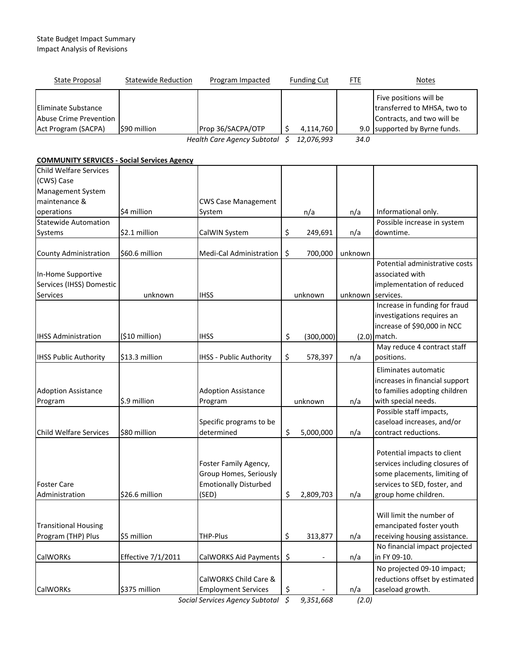## State Budget Impact Summary Impact Analysis of Revisions

| State Proposal                                                                     | <b>Statewide Reduction</b> | Program Impacted                           |                  | <b>Funding Cut</b> | <b>FTE</b>  | <b>Notes</b>                                                                                                         |
|------------------------------------------------------------------------------------|----------------------------|--------------------------------------------|------------------|--------------------|-------------|----------------------------------------------------------------------------------------------------------------------|
| <b>Eliminate Substance</b><br><b>Abuse Crime Prevention</b><br>Act Program (SACPA) | \$90 million               | Prop 36/SACPA/OTP                          | \$               | 4,114,760          |             | Five positions will be<br>transferred to MHSA, two to<br>Contracts, and two will be<br>9.0 supported by Byrne funds. |
|                                                                                    |                            | Health Care Agency Subtotal \$             |                  | 12,076,993         | 34.0        |                                                                                                                      |
| <b>COMMUNITY SERVICES - Social Services Agency</b>                                 |                            |                                            |                  |                    |             |                                                                                                                      |
| <b>Child Welfare Services</b>                                                      |                            |                                            |                  |                    |             |                                                                                                                      |
| (CWS) Case                                                                         |                            |                                            |                  |                    |             |                                                                                                                      |
| Management System                                                                  |                            |                                            |                  |                    |             |                                                                                                                      |
| maintenance &                                                                      |                            | <b>CWS Case Management</b>                 |                  |                    |             |                                                                                                                      |
| operations                                                                         | \$4 million                | System                                     |                  | n/a                | n/a         | Informational only.                                                                                                  |
| <b>Statewide Automation</b>                                                        |                            |                                            |                  |                    |             | Possible increase in system                                                                                          |
| Systems                                                                            | \$2.1 million              | CalWIN System                              | \$               | 249,691            | n/a         | downtime.                                                                                                            |
|                                                                                    | \$60.6 million             | Medi-Cal Administration                    |                  | 700,000            | unknown     |                                                                                                                      |
| <b>County Administration</b>                                                       |                            |                                            | \$               |                    |             | Potential administrative costs                                                                                       |
| In-Home Supportive                                                                 |                            |                                            |                  |                    |             | associated with                                                                                                      |
| Services (IHSS) Domestic                                                           |                            |                                            |                  |                    |             | implementation of reduced                                                                                            |
| <b>Services</b>                                                                    | unknown                    | <b>IHSS</b>                                |                  | unknown            | unknown     | services.                                                                                                            |
|                                                                                    |                            |                                            |                  |                    |             | Increase in funding for fraud                                                                                        |
|                                                                                    |                            |                                            |                  |                    |             | investigations requires an                                                                                           |
|                                                                                    |                            |                                            |                  |                    |             | increase of \$90,000 in NCC                                                                                          |
| <b>IHSS Administration</b>                                                         | (\$10 million)             | <b>IHSS</b>                                | \$               | (300,000)          |             | $(2.0)$ match.                                                                                                       |
|                                                                                    |                            |                                            |                  |                    |             | May reduce 4 contract staff                                                                                          |
| <b>IHSS Public Authority</b>                                                       | \$13.3 million             | IHSS - Public Authority                    | \$               | 578,397            | n/a         | positions.                                                                                                           |
|                                                                                    |                            |                                            |                  |                    |             | Eliminates automatic                                                                                                 |
|                                                                                    |                            |                                            |                  |                    |             | increases in financial support                                                                                       |
| <b>Adoption Assistance</b>                                                         |                            | <b>Adoption Assistance</b>                 |                  |                    |             | to families adopting children                                                                                        |
| Program                                                                            | \$.9 million               | Program                                    |                  | unknown            | n/a         | with special needs.                                                                                                  |
|                                                                                    |                            |                                            |                  |                    |             | Possible staff impacts,                                                                                              |
|                                                                                    |                            | Specific programs to be                    |                  |                    |             | caseload increases, and/or                                                                                           |
| <b>Child Welfare Services</b>                                                      | \$80 million               | determined                                 | \$               | 5,000,000          | n/a         | contract reductions.                                                                                                 |
|                                                                                    |                            |                                            |                  |                    |             | Potential impacts to client                                                                                          |
|                                                                                    |                            | Foster Family Agency,                      |                  |                    |             | services including closures of                                                                                       |
|                                                                                    |                            | Group Homes, Seriously                     |                  |                    |             | some placements, limiting of                                                                                         |
| <b>Foster Care</b>                                                                 |                            | <b>Emotionally Disturbed</b>               |                  |                    |             | services to SED, foster, and                                                                                         |
| Administration                                                                     | \$26.6 million             | (SED)                                      | \$               | 2,809,703          | n/a         | group home children.                                                                                                 |
|                                                                                    |                            |                                            |                  |                    |             |                                                                                                                      |
|                                                                                    |                            |                                            |                  |                    |             | Will limit the number of                                                                                             |
| <b>Transitional Housing</b>                                                        |                            |                                            |                  |                    |             | emancipated foster youth                                                                                             |
| Program (THP) Plus                                                                 | \$5 million                | THP-Plus                                   | \$               | 313,877            | n/a         | receiving housing assistance.                                                                                        |
|                                                                                    |                            |                                            |                  |                    |             | No financial impact projected                                                                                        |
| <b>CalWORKs</b>                                                                    | <b>Effective 7/1/2011</b>  | CalWORKS Aid Payments                      | \$               |                    | n/a         | in FY 09-10.                                                                                                         |
|                                                                                    |                            |                                            |                  |                    |             | No projected 09-10 impact;                                                                                           |
|                                                                                    |                            | CalWORKS Child Care &                      |                  |                    |             | reductions offset by estimated                                                                                       |
| <b>CalWORKs</b>                                                                    | \$375 million              | <b>Employment Services</b><br>nou Cubtatal | \$<br>$\epsilon$ | 0.25100            | n/a<br>(20) | caseload growth.                                                                                                     |

Social Services Agency Subtotal  $\sin \theta$ , 9,351,668 (2.0)